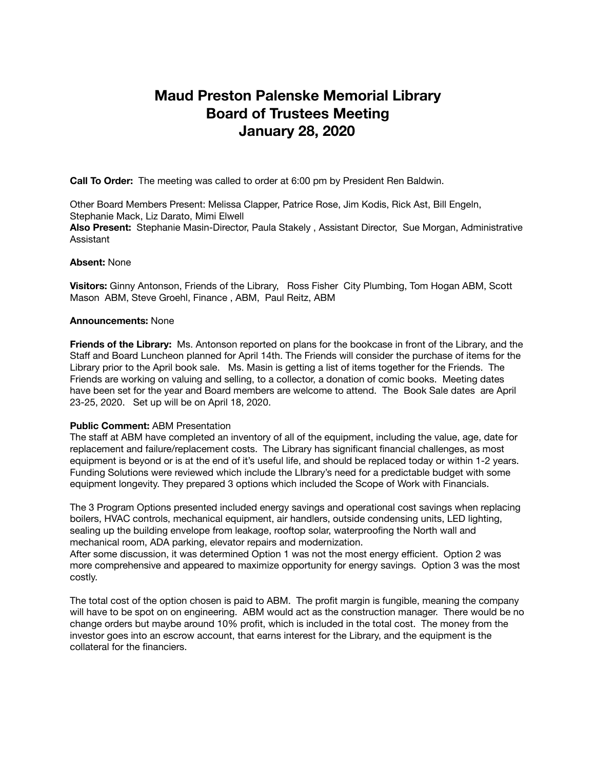# **Maud Preston Palenske Memorial Library Board of Trustees Meeting January 28, 2020**

**Call To Order:** The meeting was called to order at 6:00 pm by President Ren Baldwin.

Other Board Members Present: Melissa Clapper, Patrice Rose, Jim Kodis, Rick Ast, Bill Engeln, Stephanie Mack, Liz Darato, Mimi Elwell **Also Present:** Stephanie Masin-Director, Paula Stakely , Assistant Director, Sue Morgan, Administrative Assistant

### **Absent:** None

**Visitors:** Ginny Antonson, Friends of the Library, Ross Fisher City Plumbing, Tom Hogan ABM, Scott Mason ABM, Steve Groehl, Finance , ABM, Paul Reitz, ABM

#### **Announcements:** None

**Friends of the Library:** Ms. Antonson reported on plans for the bookcase in front of the Library, and the Staff and Board Luncheon planned for April 14th. The Friends will consider the purchase of items for the Library prior to the April book sale. Ms. Masin is getting a list of items together for the Friends. The Friends are working on valuing and selling, to a collector, a donation of comic books. Meeting dates have been set for the year and Board members are welcome to attend. The Book Sale dates are April 23-25, 2020. Set up will be on April 18, 2020.

## **Public Comment: ABM Presentation**

The staff at ABM have completed an inventory of all of the equipment, including the value, age, date for replacement and failure/replacement costs. The Library has significant financial challenges, as most equipment is beyond or is at the end of it's useful life, and should be replaced today or within 1-2 years. Funding Solutions were reviewed which include the LIbrary's need for a predictable budget with some equipment longevity. They prepared 3 options which included the Scope of Work with Financials.

The 3 Program Options presented included energy savings and operational cost savings when replacing boilers, HVAC controls, mechanical equipment, air handlers, outside condensing units, LED lighting, sealing up the building envelope from leakage, rooftop solar, waterproofing the North wall and mechanical room, ADA parking, elevator repairs and modernization.

After some discussion, it was determined Option 1 was not the most energy efficient. Option 2 was more comprehensive and appeared to maximize opportunity for energy savings. Option 3 was the most costly.

The total cost of the option chosen is paid to ABM. The profit margin is fungible, meaning the company will have to be spot on on engineering. ABM would act as the construction manager. There would be no change orders but maybe around 10% profit, which is included in the total cost. The money from the investor goes into an escrow account, that earns interest for the Library, and the equipment is the collateral for the financiers.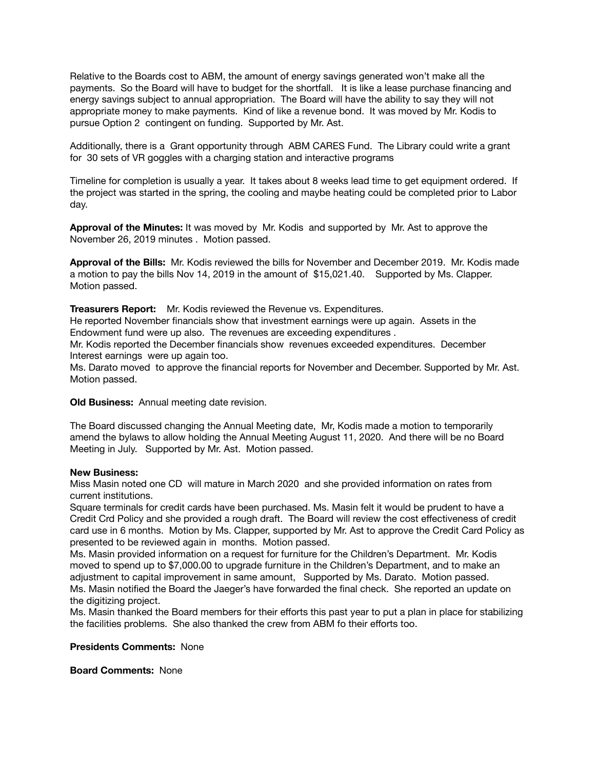Relative to the Boards cost to ABM, the amount of energy savings generated won't make all the payments. So the Board will have to budget for the shortfall. It is like a lease purchase financing and energy savings subject to annual appropriation. The Board will have the ability to say they will not appropriate money to make payments. Kind of like a revenue bond. It was moved by Mr. Kodis to pursue Option 2 contingent on funding. Supported by Mr. Ast.

Additionally, there is a Grant opportunity through ABM CARES Fund. The Library could write a grant for 30 sets of VR goggles with a charging station and interactive programs

Timeline for completion is usually a year. It takes about 8 weeks lead time to get equipment ordered. If the project was started in the spring, the cooling and maybe heating could be completed prior to Labor day.

**Approval of the Minutes:** It was moved by Mr. Kodis and supported by Mr. Ast to approve the November 26, 2019 minutes . Motion passed.

**Approval of the Bills:** Mr. Kodis reviewed the bills for November and December 2019. Mr. Kodis made a motion to pay the bills Nov 14, 2019 in the amount of \$15,021.40. Supported by Ms. Clapper. Motion passed.

**Treasurers Report:** Mr. Kodis reviewed the Revenue vs. Expenditures.

He reported November financials show that investment earnings were up again. Assets in the Endowment fund were up also. The revenues are exceeding expenditures .

Mr. Kodis reported the December financials show revenues exceeded expenditures. December Interest earnings were up again too.

Ms. Darato moved to approve the financial reports for November and December. Supported by Mr. Ast. Motion passed.

**Old Business:** Annual meeting date revision.

The Board discussed changing the Annual Meeting date, Mr, Kodis made a motion to temporarily amend the bylaws to allow holding the Annual Meeting August 11, 2020. And there will be no Board Meeting in July. Supported by Mr. Ast. Motion passed.

## **New Business:**

Miss Masin noted one CD will mature in March 2020 and she provided information on rates from current institutions.

Square terminals for credit cards have been purchased. Ms. Masin felt it would be prudent to have a Credit Crd Policy and she provided a rough draft. The Board will review the cost effectiveness of credit card use in 6 months. Motion by Ms. Clapper, supported by Mr. Ast to approve the Credit Card Policy as presented to be reviewed again in months. Motion passed.

Ms. Masin provided information on a request for furniture for the Children's Department. Mr. Kodis moved to spend up to \$7,000.00 to upgrade furniture in the Children's Department, and to make an adjustment to capital improvement in same amount, Supported by Ms. Darato. Motion passed. Ms. Masin notified the Board the Jaeger's have forwarded the final check. She reported an update on the digitizing project.

Ms. Masin thanked the Board members for their efforts this past year to put a plan in place for stabilizing the facilities problems. She also thanked the crew from ABM fo their efforts too.

**Presidents Comments:** None

**Board Comments:** None